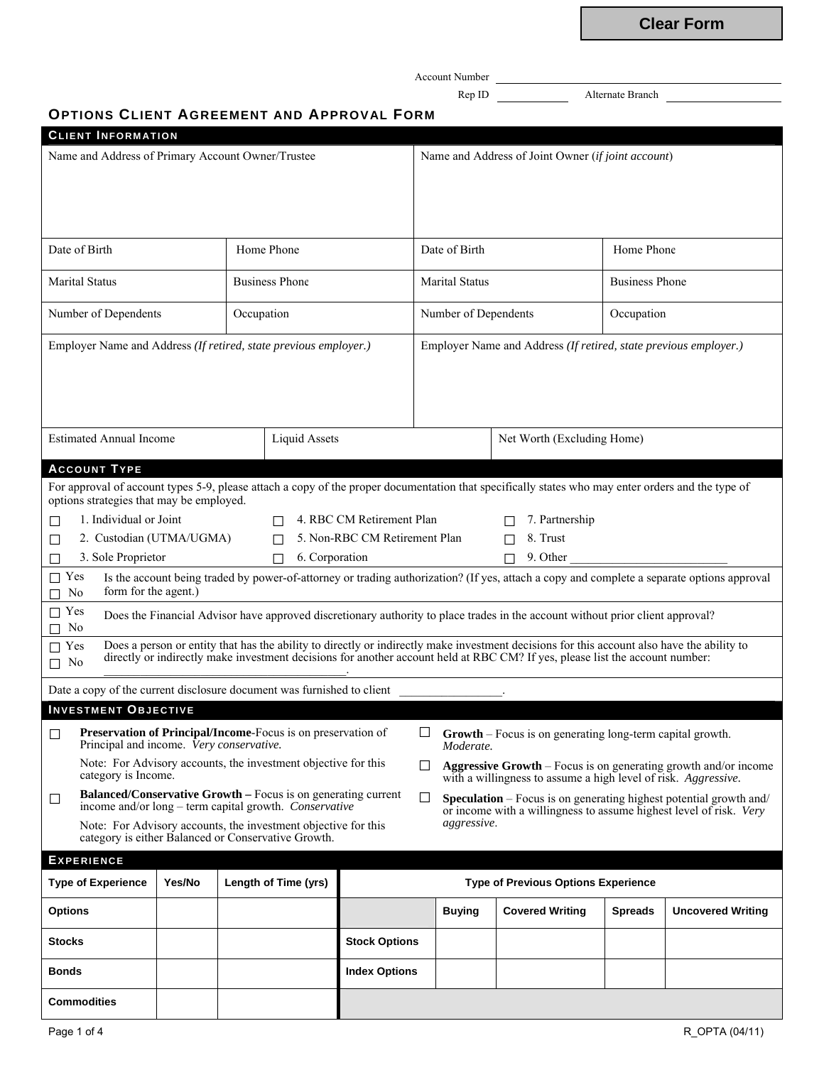**Clear Form**

Account Number

Rep ID Alternate Branch

# **OPTIONS CLIENT AGREEMENT AND APPROVAL FORM**

| <b>CLIENT INFORMATION</b>                                                                                                                                                                                                                    |        |            |                          |                                                                                                                                                      |                                                                                    |                            |   |                                                                                                                                |                       |                          |
|----------------------------------------------------------------------------------------------------------------------------------------------------------------------------------------------------------------------------------------------|--------|------------|--------------------------|------------------------------------------------------------------------------------------------------------------------------------------------------|------------------------------------------------------------------------------------|----------------------------|---|--------------------------------------------------------------------------------------------------------------------------------|-----------------------|--------------------------|
| Name and Address of Primary Account Owner/Trustee                                                                                                                                                                                            |        |            |                          | Name and Address of Joint Owner (if joint account)                                                                                                   |                                                                                    |                            |   |                                                                                                                                |                       |                          |
|                                                                                                                                                                                                                                              |        |            |                          |                                                                                                                                                      |                                                                                    |                            |   |                                                                                                                                |                       |                          |
|                                                                                                                                                                                                                                              |        |            |                          |                                                                                                                                                      |                                                                                    |                            |   |                                                                                                                                |                       |                          |
|                                                                                                                                                                                                                                              |        |            |                          |                                                                                                                                                      |                                                                                    |                            |   |                                                                                                                                |                       |                          |
| Date of Birth<br>Home Phone                                                                                                                                                                                                                  |        |            |                          | Date of Birth                                                                                                                                        |                                                                                    |                            |   | Home Phone                                                                                                                     |                       |                          |
| <b>Marital Status</b><br><b>Business Phone</b>                                                                                                                                                                                               |        |            |                          |                                                                                                                                                      | <b>Marital Status</b>                                                              |                            |   |                                                                                                                                | <b>Business Phone</b> |                          |
| Number of Dependents                                                                                                                                                                                                                         |        | Occupation |                          |                                                                                                                                                      | Number of Dependents                                                               |                            |   |                                                                                                                                | Occupation            |                          |
| Employer Name and Address (If retired, state previous employer.)                                                                                                                                                                             |        |            |                          |                                                                                                                                                      | Employer Name and Address (If retired, state previous employer.)                   |                            |   |                                                                                                                                |                       |                          |
|                                                                                                                                                                                                                                              |        |            |                          |                                                                                                                                                      |                                                                                    |                            |   |                                                                                                                                |                       |                          |
|                                                                                                                                                                                                                                              |        |            |                          |                                                                                                                                                      |                                                                                    |                            |   |                                                                                                                                |                       |                          |
|                                                                                                                                                                                                                                              |        |            |                          |                                                                                                                                                      |                                                                                    |                            |   |                                                                                                                                |                       |                          |
| <b>Estimated Annual Income</b>                                                                                                                                                                                                               |        |            | <b>Liquid Assets</b>     |                                                                                                                                                      |                                                                                    | Net Worth (Excluding Home) |   |                                                                                                                                |                       |                          |
| <b>ACCOUNT TYPE</b>                                                                                                                                                                                                                          |        |            |                          |                                                                                                                                                      |                                                                                    |                            |   |                                                                                                                                |                       |                          |
| For approval of account types 5-9, please attach a copy of the proper documentation that specifically states who may enter orders and the type of<br>options strategies that may be employed.                                                |        |            |                          |                                                                                                                                                      |                                                                                    |                            |   |                                                                                                                                |                       |                          |
| 1. Individual or Joint                                                                                                                                                                                                                       |        |            |                          | 4. RBC CM Retirement Plan                                                                                                                            |                                                                                    |                            |   | 7. Partnership                                                                                                                 |                       |                          |
| 2. Custodian (UTMA/UGMA)<br>Ш                                                                                                                                                                                                                |        |            | П                        | 5. Non-RBC CM Retirement Plan                                                                                                                        |                                                                                    |                            | П | 8. Trust                                                                                                                       |                       |                          |
| 3. Sole Proprietor<br>ΙI                                                                                                                                                                                                                     |        |            | 6. Corporation<br>$\Box$ |                                                                                                                                                      |                                                                                    |                            |   | 9. Other                                                                                                                       |                       |                          |
| Is the account being traded by power-of-attorney or trading authorization? (If yes, attach a copy and complete a separate options approval<br>$\Box$ Yes<br>form for the agent.)<br>N <sub>0</sub>                                           |        |            |                          |                                                                                                                                                      |                                                                                    |                            |   |                                                                                                                                |                       |                          |
| $\Box$ Yes<br>No                                                                                                                                                                                                                             |        |            |                          |                                                                                                                                                      |                                                                                    |                            |   | Does the Financial Advisor have approved discretionary authority to place trades in the account without prior client approval? |                       |                          |
| Does a person or entity that has the ability to directly or indirectly make investment decisions for this account also have the ability to directly or indirectly make investment decisions for another account held at RBC CM<br>$\Box$ Yes |        |            |                          |                                                                                                                                                      |                                                                                    |                            |   |                                                                                                                                |                       |                          |
| $\Box$ No                                                                                                                                                                                                                                    |        |            |                          |                                                                                                                                                      |                                                                                    |                            |   |                                                                                                                                |                       |                          |
| Date a copy of the current disclosure document was furnished to client                                                                                                                                                                       |        |            |                          |                                                                                                                                                      |                                                                                    |                            |   |                                                                                                                                |                       |                          |
| <b>INVESTMENT OBJECTIVE</b>                                                                                                                                                                                                                  |        |            |                          |                                                                                                                                                      |                                                                                    |                            |   |                                                                                                                                |                       |                          |
| <b>Preservation of Principal/Income-Focus is on preservation of</b><br>⊔<br>Principal and income. Very conservative.                                                                                                                         |        |            |                          |                                                                                                                                                      | <b>Growth</b> – Focus is on generating long-term capital growth.<br>ப<br>Moderate. |                            |   |                                                                                                                                |                       |                          |
| Note: For Advisory accounts, the investment objective for this<br><b>Aggressive Growth</b> – Focus is on generating growth and/or income<br>П<br>category is Income.<br>with a willingness to assume a high level of risk. Aggressive.       |        |            |                          |                                                                                                                                                      |                                                                                    |                            |   |                                                                                                                                |                       |                          |
| <b>Balanced/Conservative Growth - Focus is on generating current</b><br>⊔<br>income and/or long – term capital growth. Conservative                                                                                                          |        |            |                          | □<br><b>Speculation</b> – Focus is on generating highest potential growth and/<br>or income with a willingness to assume highest level of risk. Very |                                                                                    |                            |   |                                                                                                                                |                       |                          |
| aggressive.<br>Note: For Advisory accounts, the investment objective for this<br>category is either Balanced or Conservative Growth.                                                                                                         |        |            |                          |                                                                                                                                                      |                                                                                    |                            |   |                                                                                                                                |                       |                          |
| <b>EXPERIENCE</b>                                                                                                                                                                                                                            |        |            |                          |                                                                                                                                                      |                                                                                    |                            |   |                                                                                                                                |                       |                          |
| <b>Type of Experience</b>                                                                                                                                                                                                                    | Yes/No |            | Length of Time (yrs)     |                                                                                                                                                      |                                                                                    |                            |   | <b>Type of Previous Options Experience</b>                                                                                     |                       |                          |
| <b>Options</b>                                                                                                                                                                                                                               |        |            |                          |                                                                                                                                                      |                                                                                    | <b>Buying</b>              |   | <b>Covered Writing</b>                                                                                                         | <b>Spreads</b>        | <b>Uncovered Writing</b> |
| <b>Stocks</b>                                                                                                                                                                                                                                |        |            |                          | <b>Stock Options</b>                                                                                                                                 |                                                                                    |                            |   |                                                                                                                                |                       |                          |
| <b>Bonds</b>                                                                                                                                                                                                                                 |        |            |                          | <b>Index Options</b>                                                                                                                                 |                                                                                    |                            |   |                                                                                                                                |                       |                          |
| <b>Commodities</b>                                                                                                                                                                                                                           |        |            |                          |                                                                                                                                                      |                                                                                    |                            |   |                                                                                                                                |                       |                          |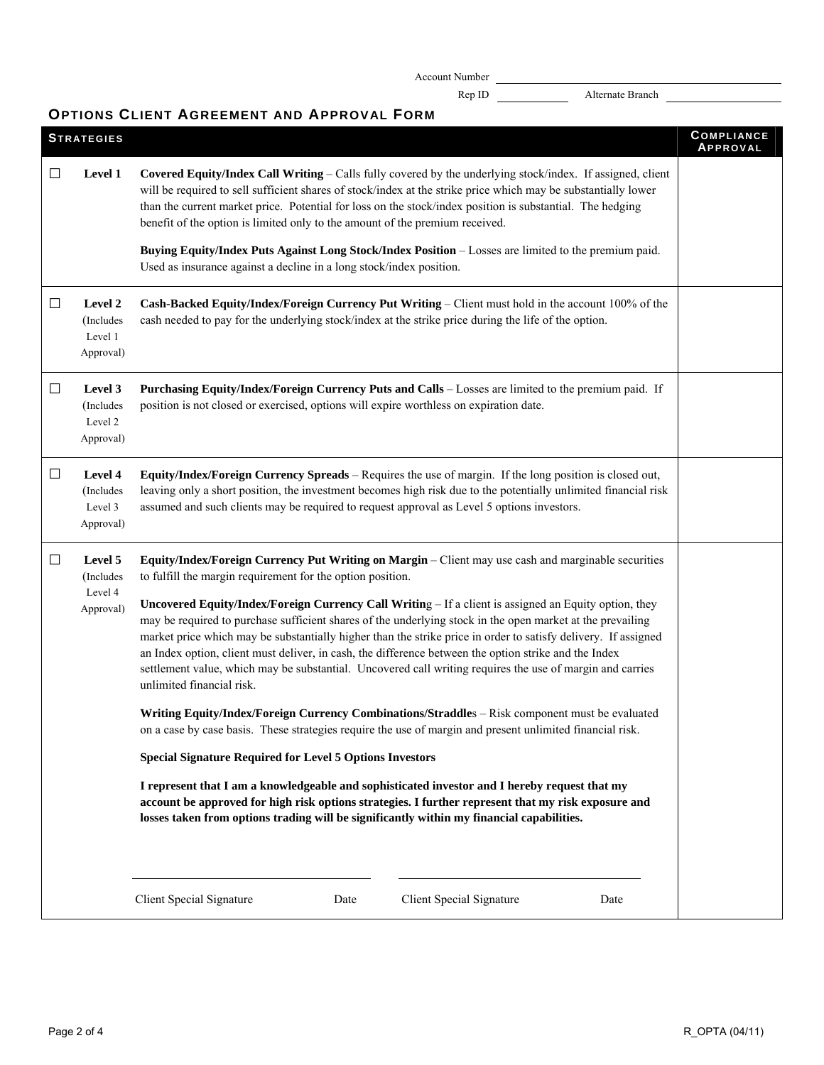Account Number

Rep ID Alternate Branch

# **OPTIONS CLIENT AGREEMENT AND APPROVAL FORM**

|        |                                              | UPIIUNS ULIENI AUKEEMENI AND AFFRUVAL FURM                                                                                                                                                                                                                                                                                                                                                                                                                                                                                                                                                                                                                                                                                                                                                                                                                                                                                                                                                                                                                                                                                                                                                                                                                                                                                                            |                               |  |  |  |  |
|--------|----------------------------------------------|-------------------------------------------------------------------------------------------------------------------------------------------------------------------------------------------------------------------------------------------------------------------------------------------------------------------------------------------------------------------------------------------------------------------------------------------------------------------------------------------------------------------------------------------------------------------------------------------------------------------------------------------------------------------------------------------------------------------------------------------------------------------------------------------------------------------------------------------------------------------------------------------------------------------------------------------------------------------------------------------------------------------------------------------------------------------------------------------------------------------------------------------------------------------------------------------------------------------------------------------------------------------------------------------------------------------------------------------------------|-------------------------------|--|--|--|--|
|        | <b>STRATEGIES</b>                            |                                                                                                                                                                                                                                                                                                                                                                                                                                                                                                                                                                                                                                                                                                                                                                                                                                                                                                                                                                                                                                                                                                                                                                                                                                                                                                                                                       | <b>COMPLIANCE</b><br>APPROVAL |  |  |  |  |
| $\Box$ | Level 1                                      | Covered Equity/Index Call Writing - Calls fully covered by the underlying stock/index. If assigned, client<br>will be required to sell sufficient shares of stock/index at the strike price which may be substantially lower<br>than the current market price. Potential for loss on the stock/index position is substantial. The hedging<br>benefit of the option is limited only to the amount of the premium received.                                                                                                                                                                                                                                                                                                                                                                                                                                                                                                                                                                                                                                                                                                                                                                                                                                                                                                                             |                               |  |  |  |  |
|        |                                              | Buying Equity/Index Puts Against Long Stock/Index Position - Losses are limited to the premium paid.<br>Used as insurance against a decline in a long stock/index position.                                                                                                                                                                                                                                                                                                                                                                                                                                                                                                                                                                                                                                                                                                                                                                                                                                                                                                                                                                                                                                                                                                                                                                           |                               |  |  |  |  |
| $\Box$ | Level 2<br>(Includes<br>Level 1<br>Approval) | Cash-Backed Equity/Index/Foreign Currency Put Writing - Client must hold in the account 100% of the<br>cash needed to pay for the underlying stock/index at the strike price during the life of the option.                                                                                                                                                                                                                                                                                                                                                                                                                                                                                                                                                                                                                                                                                                                                                                                                                                                                                                                                                                                                                                                                                                                                           |                               |  |  |  |  |
| $\Box$ | Level 3<br>(Includes<br>Level 2<br>Approval) | Purchasing Equity/Index/Foreign Currency Puts and Calls - Losses are limited to the premium paid. If<br>position is not closed or exercised, options will expire worthless on expiration date.                                                                                                                                                                                                                                                                                                                                                                                                                                                                                                                                                                                                                                                                                                                                                                                                                                                                                                                                                                                                                                                                                                                                                        |                               |  |  |  |  |
| $\Box$ | Level 4<br>(Includes<br>Level 3<br>Approval) | Equity/Index/Foreign Currency Spreads - Requires the use of margin. If the long position is closed out,<br>leaving only a short position, the investment becomes high risk due to the potentially unlimited financial risk<br>assumed and such clients may be required to request approval as Level 5 options investors.                                                                                                                                                                                                                                                                                                                                                                                                                                                                                                                                                                                                                                                                                                                                                                                                                                                                                                                                                                                                                              |                               |  |  |  |  |
| $\Box$ | Level 5<br>(Includes<br>Level 4<br>Approval) | Equity/Index/Foreign Currency Put Writing on Margin – Client may use cash and marginable securities<br>to fulfill the margin requirement for the option position.<br>Uncovered Equity/Index/Foreign Currency Call Writing - If a client is assigned an Equity option, they<br>may be required to purchase sufficient shares of the underlying stock in the open market at the prevailing<br>market price which may be substantially higher than the strike price in order to satisfy delivery. If assigned<br>an Index option, client must deliver, in cash, the difference between the option strike and the Index<br>settlement value, which may be substantial. Uncovered call writing requires the use of margin and carries<br>unlimited financial risk.<br>Writing Equity/Index/Foreign Currency Combinations/Straddles - Risk component must be evaluated<br>on a case by case basis. These strategies require the use of margin and present unlimited financial risk.<br><b>Special Signature Required for Level 5 Options Investors</b><br>I represent that I am a knowledgeable and sophisticated investor and I hereby request that my<br>account be approved for high risk options strategies. I further represent that my risk exposure and<br>losses taken from options trading will be significantly within my financial capabilities. |                               |  |  |  |  |
|        |                                              | Client Special Signature<br>Client Special Signature<br>Date<br>Date                                                                                                                                                                                                                                                                                                                                                                                                                                                                                                                                                                                                                                                                                                                                                                                                                                                                                                                                                                                                                                                                                                                                                                                                                                                                                  |                               |  |  |  |  |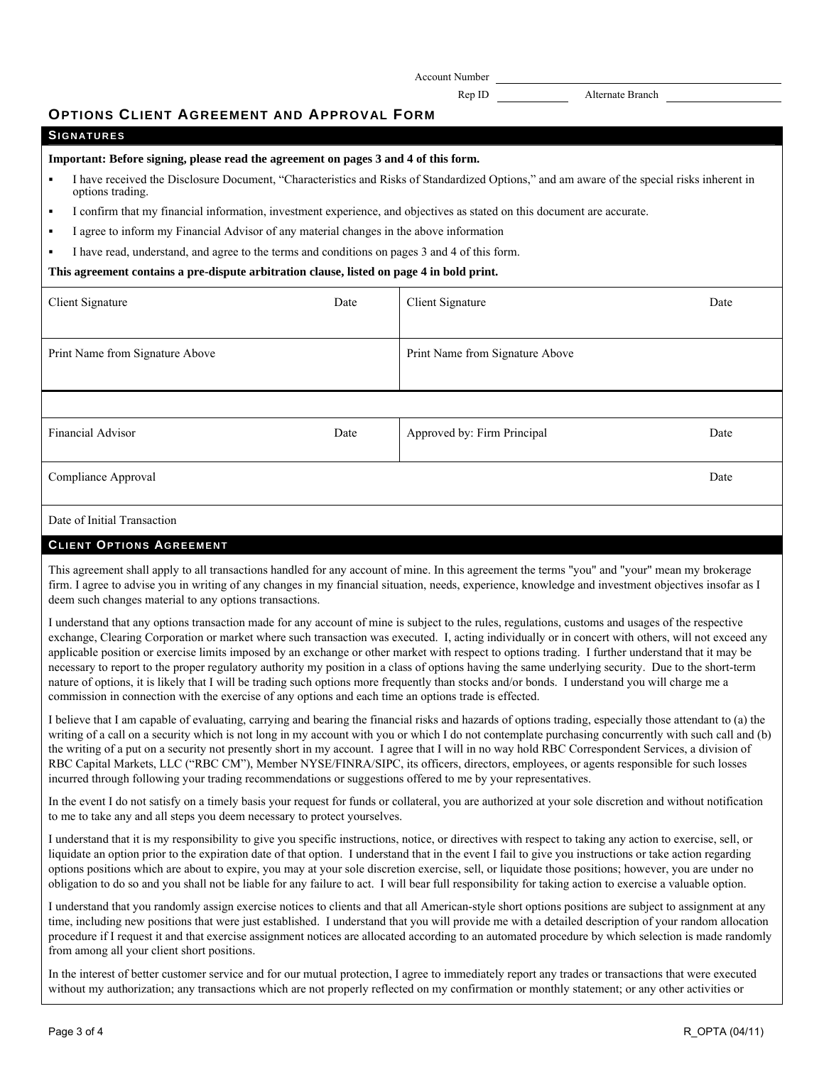Account Number

Rep ID Alternate Branch

## **OPTIONS CLIENT AGREEMENT AND APPROVAL FORM**

| <b>SIGNATURES</b> |  |  |
|-------------------|--|--|
|                   |  |  |

#### **Important: Before signing, please read the agreement on pages 3 and 4 of this form.**

- I have received the Disclosure Document, "Characteristics and Risks of Standardized Options," and am aware of the special risks inherent in options trading.
- I confirm that my financial information, investment experience, and objectives as stated on this document are accurate.
- I agree to inform my Financial Advisor of any material changes in the above information
- I have read, understand, and agree to the terms and conditions on pages 3 and 4 of this form.

#### **This agreement contains a pre-dispute arbitration clause, listed on page 4 in bold print.**

| Client Signature                | Date | Client Signature                | Date |
|---------------------------------|------|---------------------------------|------|
|                                 |      |                                 |      |
| Print Name from Signature Above |      | Print Name from Signature Above |      |
|                                 |      |                                 |      |
|                                 |      |                                 |      |
| <b>Financial Advisor</b>        | Date | Approved by: Firm Principal     | Date |
| Compliance Approval             |      |                                 | Date |
| Date of Initial Transaction     |      |                                 |      |

## **CLIENT OPTIONS AGREEMENT**

This agreement shall apply to all transactions handled for any account of mine. In this agreement the terms "you" and "your" mean my brokerage firm. I agree to advise you in writing of any changes in my financial situation, needs, experience, knowledge and investment objectives insofar as I deem such changes material to any options transactions.

I understand that any options transaction made for any account of mine is subject to the rules, regulations, customs and usages of the respective exchange, Clearing Corporation or market where such transaction was executed. I, acting individually or in concert with others, will not exceed any applicable position or exercise limits imposed by an exchange or other market with respect to options trading. I further understand that it may be necessary to report to the proper regulatory authority my position in a class of options having the same underlying security. Due to the short-term nature of options, it is likely that I will be trading such options more frequently than stocks and/or bonds. I understand you will charge me a commission in connection with the exercise of any options and each time an options trade is effected.

I believe that I am capable of evaluating, carrying and bearing the financial risks and hazards of options trading, especially those attendant to (a) the writing of a call on a security which is not long in my account with you or which I do not contemplate purchasing concurrently with such call and (b) the writing of a put on a security not presently short in my account. I agree that I will in no way hold RBC Correspondent Services, a division of RBC Capital Markets, LLC ("RBC CM"), Member NYSE/FINRA/SIPC, its officers, directors, employees, or agents responsible for such losses incurred through following your trading recommendations or suggestions offered to me by your representatives.

In the event I do not satisfy on a timely basis your request for funds or collateral, you are authorized at your sole discretion and without notification to me to take any and all steps you deem necessary to protect yourselves.

I understand that it is my responsibility to give you specific instructions, notice, or directives with respect to taking any action to exercise, sell, or liquidate an option prior to the expiration date of that option. I understand that in the event I fail to give you instructions or take action regarding options positions which are about to expire, you may at your sole discretion exercise, sell, or liquidate those positions; however, you are under no obligation to do so and you shall not be liable for any failure to act. I will bear full responsibility for taking action to exercise a valuable option.

I understand that you randomly assign exercise notices to clients and that all American-style short options positions are subject to assignment at any time, including new positions that were just established. I understand that you will provide me with a detailed description of your random allocation procedure if I request it and that exercise assignment notices are allocated according to an automated procedure by which selection is made randomly from among all your client short positions.

In the interest of better customer service and for our mutual protection, I agree to immediately report any trades or transactions that were executed without my authorization; any transactions which are not properly reflected on my confirmation or monthly statement; or any other activities or